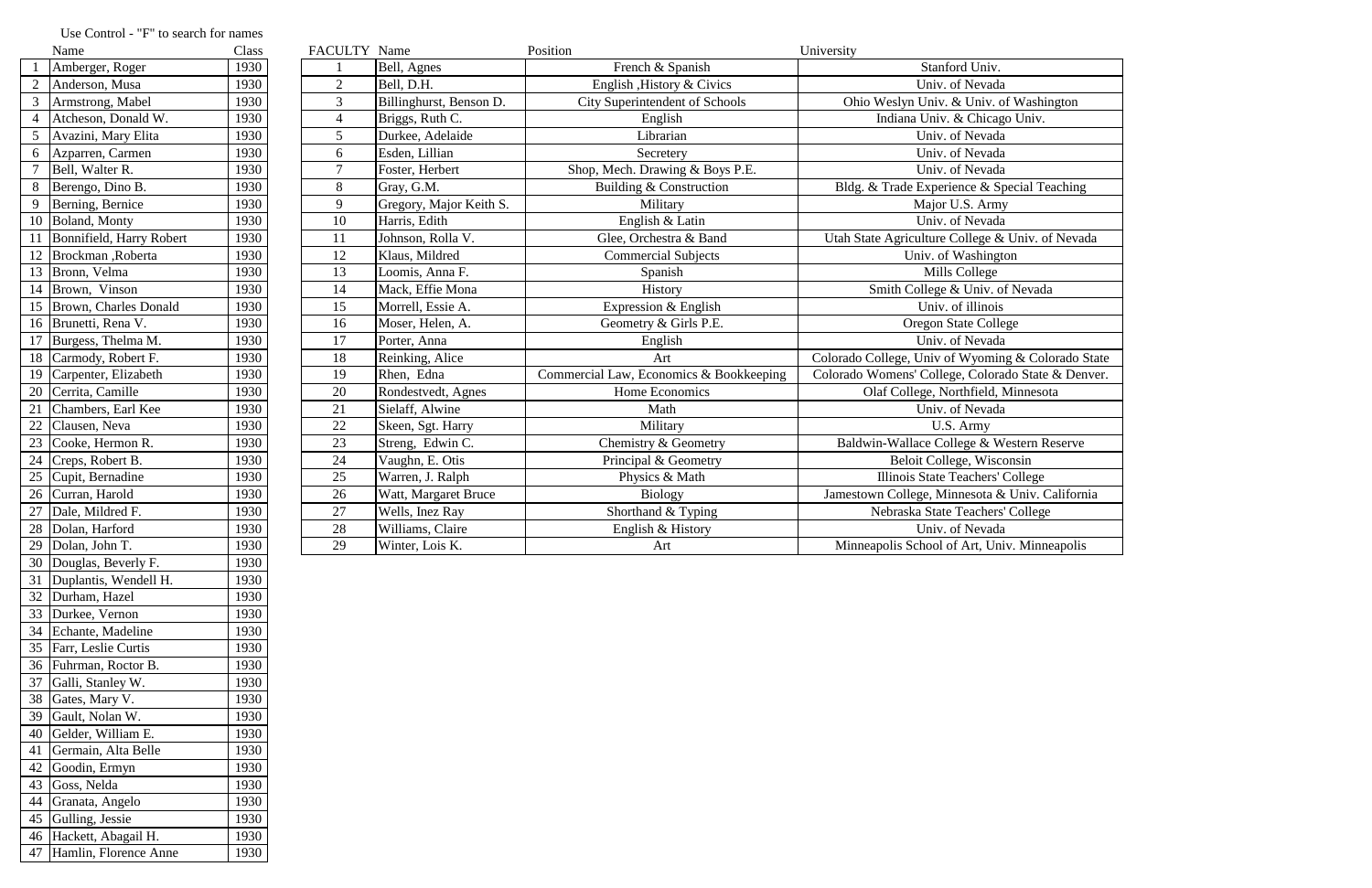|                 | Name                     | Class | FACULTY Name   |                         | Position                                | University                                         |
|-----------------|--------------------------|-------|----------------|-------------------------|-----------------------------------------|----------------------------------------------------|
|                 | Amberger, Roger          | 1930  |                | Bell, Agnes             | French & Spanish                        | Stanford Univ.                                     |
|                 | Anderson, Musa           | 1930  | $\overline{2}$ | Bell, D.H.              | English , History & Civics              | Univ. of Nevada                                    |
|                 | Armstrong, Mabel         | 1930  | 3              | Billinghurst, Benson D. | <b>City Superintendent of Schools</b>   | Ohio Weslyn Univ. & Univ. of Washington            |
| $\overline{4}$  | Atcheson, Donald W.      | 1930  | $\overline{4}$ | Briggs, Ruth C.         | English                                 | Indiana Univ. & Chicago Univ.                      |
| 5               | Avazini, Mary Elita      | 1930  | $\mathfrak{S}$ | Durkee, Adelaide        | Librarian                               | Univ. of Nevada                                    |
| 6               | Azparren, Carmen         | 1930  | 6              | Esden, Lillian          | Secretery                               | Univ. of Nevada                                    |
|                 | Bell, Walter R.          | 1930  | $\tau$         | Foster, Herbert         | Shop, Mech. Drawing & Boys P.E.         | Univ. of Nevada                                    |
| 8               | Berengo, Dino B.         | 1930  | 8              | Gray, G.M.              | Building & Construction                 | Bldg. & Trade Experience & Special Teaching        |
| 9               | Berning, Bernice         | 1930  | 9              | Gregory, Major Keith S. | Military                                | Major U.S. Army                                    |
|                 | 10 Boland, Monty         | 1930  | 10             | Harris, Edith           | English & Latin                         | Univ. of Nevada                                    |
| -11             | Bonnifield, Harry Robert | 1930  | 11             | Johnson, Rolla V.       | Glee, Orchestra & Band                  | Utah State Agriculture College & Univ. of Nevada   |
|                 | Brockman, Roberta        | 1930  | 12             | Klaus, Mildred          | <b>Commercial Subjects</b>              | Univ. of Washington                                |
|                 | 13 Bronn, Velma          | 1930  | 13             | Loomis, Anna F.         | Spanish                                 | Mills College                                      |
|                 | 14 Brown, Vinson         | 1930  | 14             | Mack, Effie Mona        | History                                 | Smith College & Univ. of Nevada                    |
| 15              | Brown, Charles Donald    | 1930  | 15             | Morrell, Essie A.       | Expression & English                    | Univ. of illinois                                  |
|                 | 16 Brunetti, Rena V.     | 1930  | 16             | Moser, Helen, A.        | Geometry & Girls P.E.                   | <b>Oregon State College</b>                        |
| 17              | Burgess, Thelma M.       | 1930  | 17             | Porter, Anna            | English                                 | Univ. of Nevada                                    |
| 18              | Carmody, Robert F.       | 1930  | 18             | Reinking, Alice         | Art                                     | Colorado College, Univ of Wyoming & Colorado State |
|                 | 19 Carpenter, Elizabeth  | 1930  | 19             | Rhen, Edna              | Commercial Law, Economics & Bookkeeping | Colorado Womens' College, Colorado State & Denver. |
| 20              | Cerrita, Camille         | 1930  | 20             | Rondestvedt, Agnes      | Home Economics                          | Olaf College, Northfield, Minnesota                |
| 21              | Chambers, Earl Kee       | 1930  | 21             | Sielaff, Alwine         | Math                                    | Univ. of Nevada                                    |
| 22              | Clausen, Neva            | 1930  | 22             | Skeen, Sgt. Harry       | Military                                | U.S. Army                                          |
| $\overline{23}$ | Cooke, Hermon R.         | 1930  | 23             | Streng, Edwin C.        | Chemistry & Geometry                    | Baldwin-Wallace College & Western Reserve          |
| 24              | Creps, Robert B.         | 1930  | 24             | Vaughn, E. Otis         | Principal & Geometry                    | Beloit College, Wisconsin                          |
| 25              | Cupit, Bernadine         | 1930  | 25             | Warren, J. Ralph        | Physics & Math                          | Illinois State Teachers' College                   |
| 26              | Curran, Harold           | 1930  | 26             | Watt, Margaret Bruce    | <b>Biology</b>                          | Jamestown College, Minnesota & Univ. California    |
| 27              | Dale, Mildred F.         | 1930  | 27             | Wells, Inez Ray         | Shorthand & Typing                      | Nebraska State Teachers' College                   |
|                 | 28 Dolan, Harford        | 1930  | 28             | Williams, Claire        | English & History                       | Univ. of Nevada                                    |
|                 | 29 Dolan, John T.        | 1930  | 29             | Winter, Lois K.         | Art                                     | Minneapolis School of Art, Univ. Minneapolis       |
|                 | 30 Douglas, Beverly F.   | 1930  |                |                         |                                         |                                                    |

## Use Control - "F" to search for names

31 Duplantis, Wendell H. 1930 32 Durham, Hazel 1930

33 Durkee, Vernon 1930<br>34 Echante, Madeline 1930

35 Farr, Leslie Curtis 1930 Fuhrman, Roctor B. 1930 Galli, Stanley W. 1930 38 Gates, Mary V. 1930 Gault, Nolan W. 1930 Gelder, William E. 1930 41 Germain, Alta Belle 1930 42 Goodin, Ermyn 1930 Goss, Nelda 1930 44 Granata, Angelo 1930 45 Gulling, Jessie 1930

46 Hackett, Abagail H. 1930<br>47 Hamlin, Florence Anne 1930

47 Hamlin, Florence Anne

34 Echante, Madeline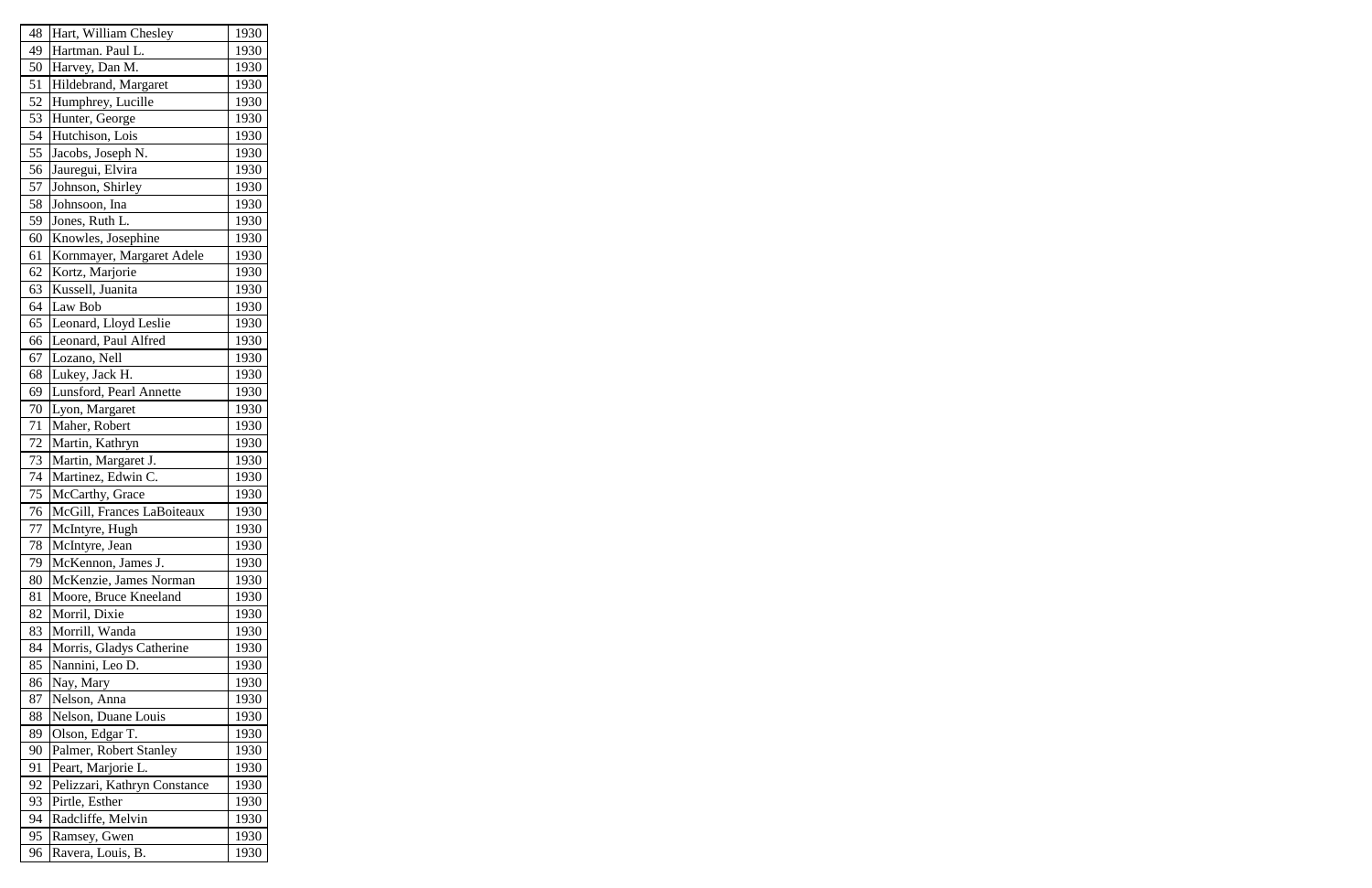| 48 | Hart, William Chesley        | 1930 |
|----|------------------------------|------|
| 49 | Hartman. Paul L.             | 1930 |
| 50 | Harvey, Dan M.               | 1930 |
| 51 | Hildebrand, Margaret         | 1930 |
| 52 | Humphrey, Lucille            | 1930 |
| 53 | Hunter, George               | 1930 |
| 54 | Hutchison, Lois              | 1930 |
| 55 | Jacobs, Joseph N.            | 1930 |
| 56 | Jauregui, Elvira             | 1930 |
| 57 | Johnson, Shirley             | 1930 |
| 58 | Johnsoon, Ina                | 1930 |
| 59 | Jones, Ruth L.               | 1930 |
| 60 | Knowles, Josephine           | 1930 |
| 61 | Kornmayer, Margaret Adele    | 1930 |
| 62 | Kortz, Marjorie              | 1930 |
| 63 | Kussell, Juanita             | 1930 |
| 64 | Law Bob                      | 1930 |
| 65 | Leonard, Lloyd Leslie        | 1930 |
| 66 | Leonard, Paul Alfred         | 1930 |
| 67 | Lozano, Nell                 | 1930 |
| 68 | Lukey, Jack H.               | 1930 |
| 69 | Lunsford, Pearl Annette      | 1930 |
| 70 | Lyon, Margaret               | 1930 |
| 71 | Maher, Robert                | 1930 |
| 72 | Martin, Kathryn              | 1930 |
| 73 | Martin, Margaret J.          | 1930 |
| 74 | Martinez, Edwin C.           | 1930 |
| 75 | McCarthy, Grace              | 1930 |
| 76 | McGill, Frances LaBoiteaux   | 1930 |
| 77 | McIntyre, Hugh               | 1930 |
| 78 | McIntyre, Jean               | 1930 |
| 79 | McKennon, James J.           | 1930 |
| 80 | McKenzie, James Norman       | 1930 |
| 81 | Moore, Bruce Kneeland        | 1930 |
| 82 | Morril, Dixie                | 1930 |
| 83 | Morrill, Wanda               | 1930 |
| 84 | Morris, Gladys Catherine     | 1930 |
| 85 | Nannini, Leo D.              | 1930 |
| 86 | Nay, Mary                    | 1930 |
| 87 | Nelson, Anna                 | 1930 |
| 88 | Nelson, Duane Louis          | 1930 |
| 89 | Olson, Edgar T.              | 1930 |
| 90 | Palmer, Robert Stanley       | 1930 |
| 91 | Peart, Marjorie L.           | 1930 |
| 92 | Pelizzari, Kathryn Constance | 1930 |
| 93 | Pirtle, Esther               | 1930 |
| 94 | Radcliffe, Melvin            | 1930 |
| 95 | Ramsey, Gwen                 | 1930 |
| 96 | Ravera, Louis, B.            | 1930 |